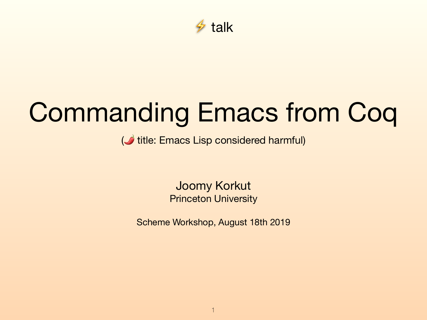

# Commanding Emacs from Coq

( $\bigcirc$  title: Emacs Lisp considered harmful)

Joomy Korkut Princeton University

Scheme Workshop, August 18th 2019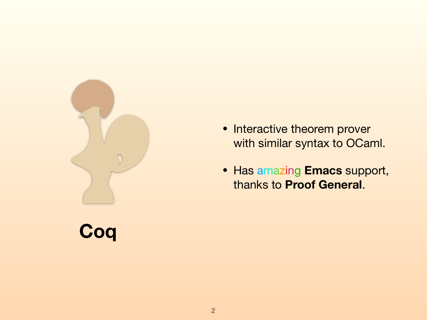

**Coq**

• Interactive theorem prover with similar syntax to OCaml.

• Has amazing **Emacs** support, thanks to **Proof General**.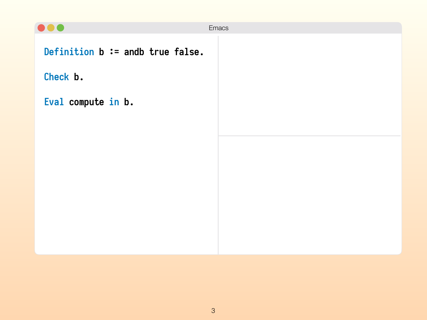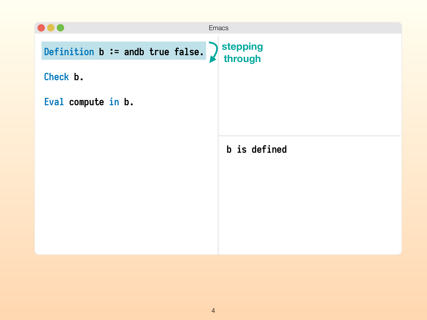|                                  | <b>Emacs</b>                                  |
|----------------------------------|-----------------------------------------------|
| Definition b := andb true false. | stepping<br>through<br>$\boldsymbol{\lambda}$ |
| Check b.                         |                                               |
| Eval compute in b.               |                                               |
|                                  |                                               |
|                                  | b is defined                                  |
|                                  |                                               |
|                                  |                                               |
|                                  |                                               |
|                                  |                                               |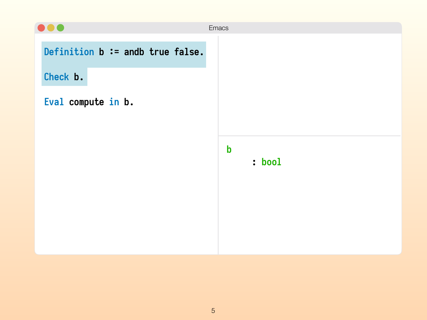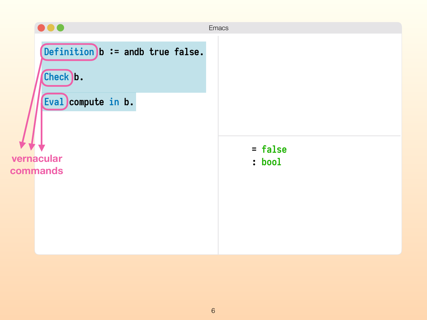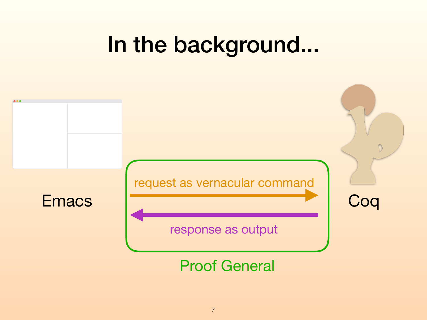## In the background...

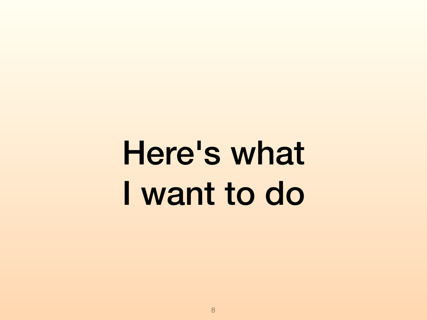Here's what I want to do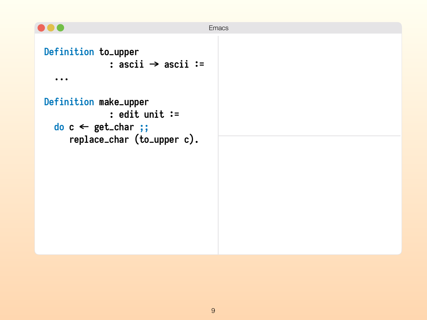```
\bullet\bullet\bulletEmacs
 Definition to_upper 
                : ascii → ascii :=
     ... 
 Definition make_upper 
                : edit unit :=
   do c ← get_char ;;
        replace_char (to_upper c).
```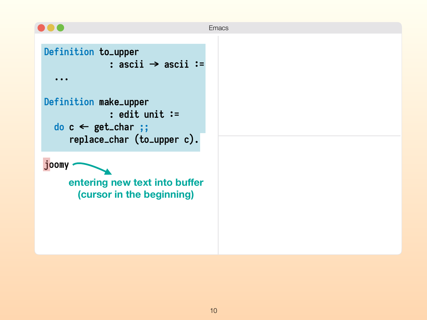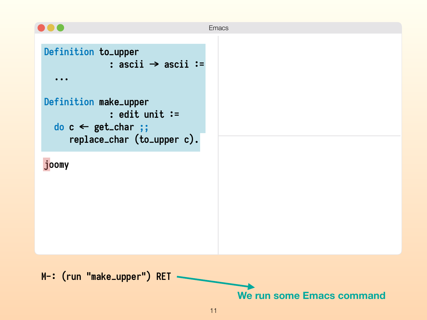

**We run some Emacs command**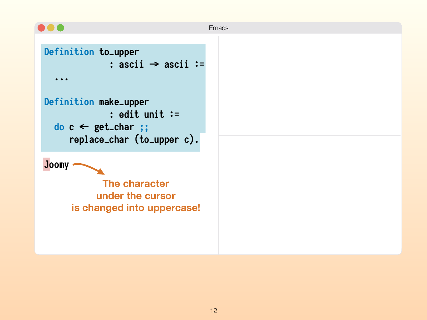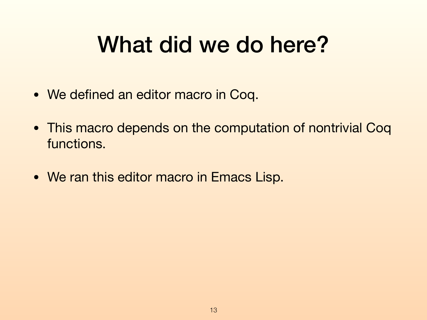## What did we do here?

- We defined an editor macro in Coq.
- This macro depends on the computation of nontrivial Coq functions.
- We ran this editor macro in Emacs Lisp.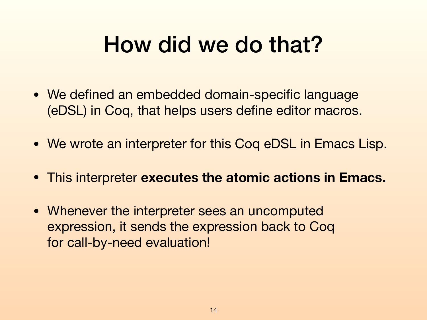## How did we do that?

- We defined an embedded domain-specific language (eDSL) in Coq, that helps users define editor macros.
- We wrote an interpreter for this Coq eDSL in Emacs Lisp.
- This interpreter **executes the atomic actions in Emacs.**
- Whenever the interpreter sees an uncomputed expression, it sends the expression back to Coq for call-by-need evaluation!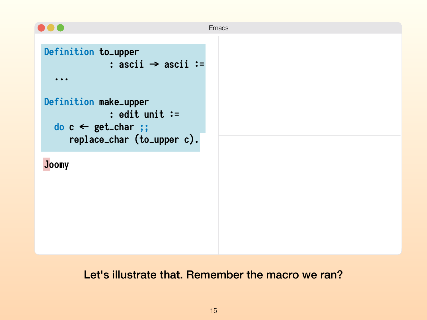

#### Let's illustrate that. Remember the macro we ran?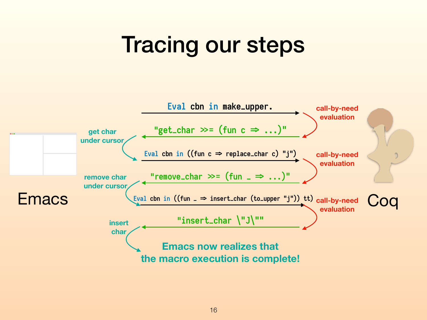## Tracing our steps

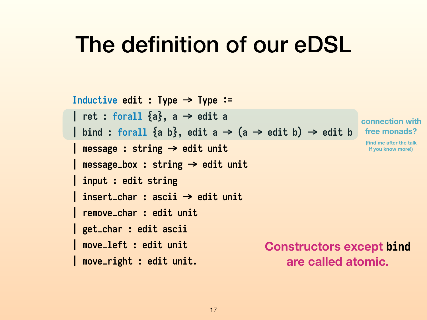#### The definition of our eDSL

```
Inductive edit : Type => Type *= 
| ret : forall {a}, a \rightarrow edit a
| bind : forall {a b}, edit a \rightarrow (a \rightarrow edit b) \rightarrow edit b| message : string → edit unit
 | message_box : string => edit unit 
| input : edit string 
| insert_char : ascii => edit unit 
| remove_char : edit unit 
| get_char : edit ascii 
| move_left : edit unit 
| move_right : edit unit. 
                                                                    connection with
                                                                     free monads? 
                                                                     (find me after the talk 
                                                                      if you know more!)
                                             Constructors except bind
                                                  are called atomic.
```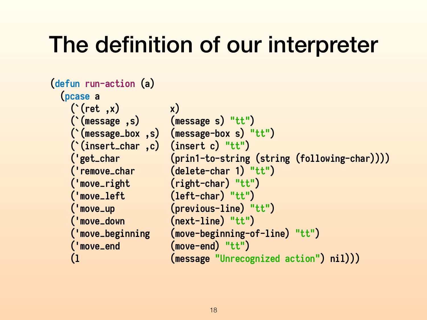## The definition of our interpreter

```
(defun run-action (a) 
  (pcase a 
    (`(ret ,x) x) 
    (`(message ,s) (message s) "tt") 
    (`(message_box ,s) (message-box s) "tt") 
    (`(insert_char ,c) (insert c) "tt") 
    ('get_char (prin1-to-string (string (following-char)))) 
    ('remove_char (delete-char 1) "tt") 
     ('move_right (right-char) "tt") 
     ('move_left (left-char) "tt") 
     ('move_up (previous-line) "tt") 
     ('move_down (next-line) "tt") 
     ('move_beginning (move-beginning-of-line) "tt") 
    ('move_end (move-end) "tt") 
    (l (message "Unrecognized action") nil)))
```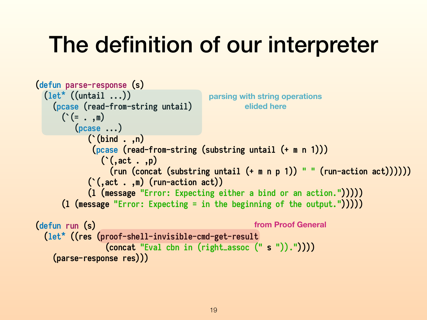## The definition of our interpreter

```
(defun parse-response (s) 
   (let* ((untail ...)) 
     (pcase (read-from-string untail) 
      ( ( = , , \mathbb{m}) (pcase ...) 
             (`(bind . ,n) 
               (pcase (read-from-string (substring untail (+ m n 1))) 
                 (`(,act . ,p) 
                   (run (concat (substring untail (+ m n p 1)) " " (run-action act)))))) 
              (`(,act . ,m) (run-action act)) 
              (l (message "Error: Expecting either a bind or an action."))))) 
       (l (message "Error: Expecting = in the beginning of the output."))))) 
(defun run (s) 
   (let* ((res (proof-shell-invisible-cmd-get-result 
                  (concat "Eval cbn in (right_assoc (" s ")).")))) 
     (parse-response res))) 
                                           parsing with string operations 
                                                    elided here
                                                      from Proof General
```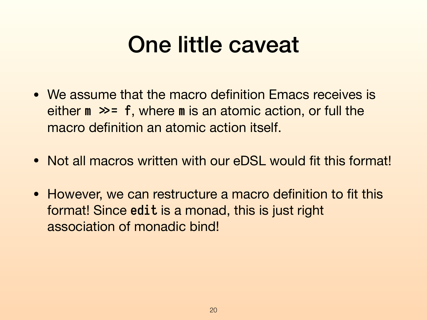## One little caveat

- We assume that the macro definition Emacs receives is either  $m \gg = f$ , where  $m$  is an atomic action, or full the macro definition an atomic action itself.
- Not all macros written with our eDSL would fit this format!
- However, we can restructure a macro definition to fit this format! Since **edit** is a monad, this is just right association of monadic bind!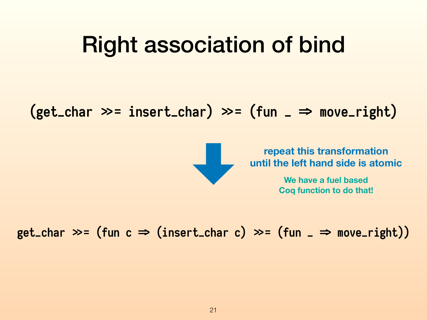### Right association of bind

 $(get_{char} \gg = insert_{char}) \gg = (fun_{=} \Rightarrow move\_right)$ 



**repeat this transformation until the left hand side is atomic**

> **We have a fuel based Coq function to do that!**

 $get_{char} \gg = (fun c \Rightarrow (insert_{char} c) \gg = (fun_{new} \Rightarrow move_{right}))$